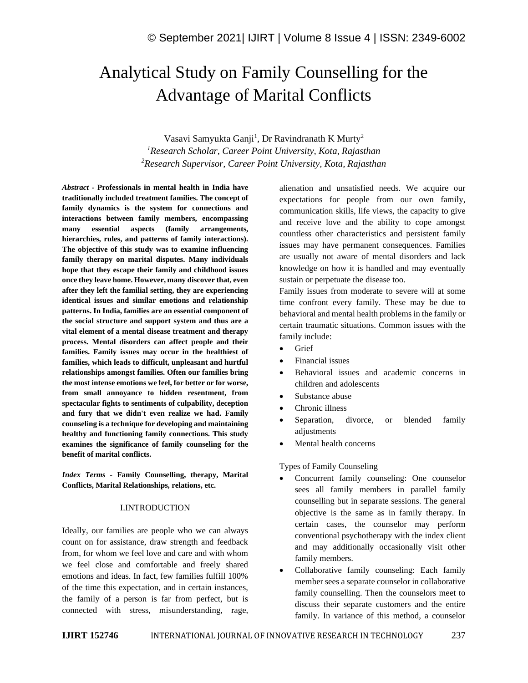# Analytical Study on Family Counselling for the Advantage of Marital Conflicts

Vasavi Samyukta Ganji<sup>1</sup>, Dr Ravindranath K Murty<sup>2</sup> *<sup>1</sup>Research Scholar, Career Point University, Kota, Rajasthan <sup>2</sup>Research Supervisor, Career Point University, Kota, Rajasthan*

*Abstract -* **Professionals in mental health in India have traditionally included treatment families. The concept of family dynamics is the system for connections and interactions between family members, encompassing many essential aspects (family arrangements, hierarchies, rules, and patterns of family interactions). The objective of this study was to examine influencing family therapy on marital disputes. Many individuals hope that they escape their family and childhood issues once they leave home. However, many discover that, even after they left the familial setting, they are experiencing identical issues and similar emotions and relationship patterns. In India, families are an essential component of the social structure and support system and thus are a vital element of a mental disease treatment and therapy process. Mental disorders can affect people and their families. Family issues may occur in the healthiest of families, which leads to difficult, unpleasant and hurtful relationships amongst families. Often our families bring the most intense emotions we feel, for better or for worse, from small annoyance to hidden resentment, from spectacular fights to sentiments of culpability, deception and fury that we didn't even realize we had. Family counseling is a technique for developing and maintaining healthy and functioning family connections. This study examines the significance of family counseling for the benefit of marital conflicts.**

*Index Terms -* **Family Counselling, therapy, Marital Conflicts, Marital Relationships, relations, etc.**

#### I.INTRODUCTION

Ideally, our families are people who we can always count on for assistance, draw strength and feedback from, for whom we feel love and care and with whom we feel close and comfortable and freely shared emotions and ideas. In fact, few families fulfill 100% of the time this expectation, and in certain instances, the family of a person is far from perfect, but is connected with stress, misunderstanding, rage,

alienation and unsatisfied needs. We acquire our expectations for people from our own family, communication skills, life views, the capacity to give and receive love and the ability to cope amongst countless other characteristics and persistent family issues may have permanent consequences. Families are usually not aware of mental disorders and lack knowledge on how it is handled and may eventually sustain or perpetuate the disease too.

Family issues from moderate to severe will at some time confront every family. These may be due to behavioral and mental health problems in the family or certain traumatic situations. Common issues with the family include:

- Grief
- Financial issues
- Behavioral issues and academic concerns in children and adolescents
- Substance abuse
- Chronic illness
- Separation, divorce, or blended family adjustments
- Mental health concerns

Types of Family Counseling

- Concurrent family counseling: One counselor sees all family members in parallel family counselling but in separate sessions. The general objective is the same as in family therapy. In certain cases, the counselor may perform conventional psychotherapy with the index client and may additionally occasionally visit other family members.
- Collaborative family counseling: Each family member sees a separate counselor in collaborative family counselling. Then the counselors meet to discuss their separate customers and the entire family. In variance of this method, a counselor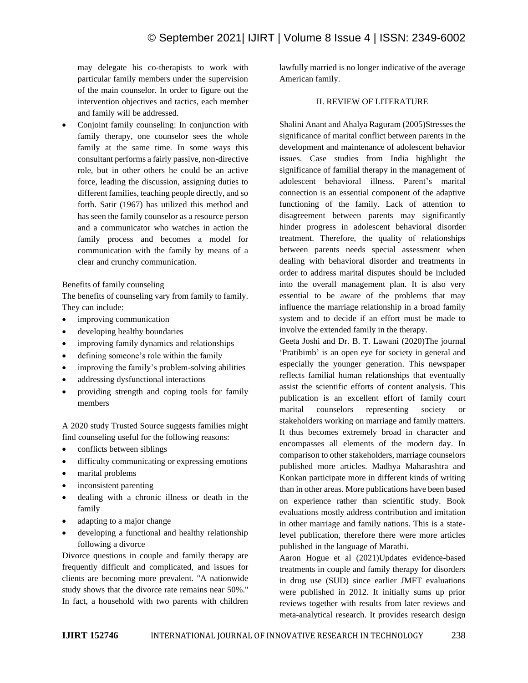may delegate his co-therapists to work with particular family members under the supervision of the main counselor. In order to figure out the intervention objectives and tactics, each member and family will be addressed.

• Conjoint family counseling: In conjunction with family therapy, one counselor sees the whole family at the same time. In some ways this consultant performs a fairly passive, non-directive role, but in other others he could be an active force, leading the discussion, assigning duties to different families, teaching people directly, and so forth. Satir (1967) has utilized this method and has seen the family counselor as a resource person and a communicator who watches in action the family process and becomes a model for communication with the family by means of a clear and crunchy communication.

#### Benefits of family counseling

The benefits of counseling vary from family to family. They can include:

- improving communication
- developing healthy boundaries
- improving family dynamics and relationships
- defining someone's role within the family
- improving the family's problem-solving abilities
- addressing dysfunctional interactions
- providing strength and coping tools for family members

A 2020 study Trusted Source suggests families might find counseling useful for the following reasons:

- conflicts between siblings
- difficulty communicating or expressing emotions
- marital problems
- inconsistent parenting
- dealing with a chronic illness or death in the family
- adapting to a major change
- developing a functional and healthy relationship following a divorce

Divorce questions in couple and family therapy are frequently difficult and complicated, and issues for clients are becoming more prevalent. "A nationwide study shows that the divorce rate remains near 50%.'' In fact, a household with two parents with children lawfully married is no longer indicative of the average American family.

# II. REVIEW OF LITERATURE

Shalini Anant and Ahalya Raguram (2005)Stresses the significance of marital conflict between parents in the development and maintenance of adolescent behavior issues. Case studies from India highlight the significance of familial therapy in the management of adolescent behavioral illness. Parent's marital connection is an essential component of the adaptive functioning of the family. Lack of attention to disagreement between parents may significantly hinder progress in adolescent behavioral disorder treatment. Therefore, the quality of relationships between parents needs special assessment when dealing with behavioral disorder and treatments in order to address marital disputes should be included into the overall management plan. It is also very essential to be aware of the problems that may influence the marriage relationship in a broad family system and to decide if an effort must be made to involve the extended family in the therapy.

Geeta Joshi and Dr. B. T. Lawani (2020)The journal 'Pratibimb' is an open eye for society in general and especially the younger generation. This newspaper reflects familial human relationships that eventually assist the scientific efforts of content analysis. This publication is an excellent effort of family court marital counselors representing society or stakeholders working on marriage and family matters. It thus becomes extremely broad in character and encompasses all elements of the modern day. In comparison to other stakeholders, marriage counselors published more articles. Madhya Maharashtra and Konkan participate more in different kinds of writing than in other areas. More publications have been based on experience rather than scientific study. Book evaluations mostly address contribution and imitation in other marriage and family nations. This is a statelevel publication, therefore there were more articles published in the language of Marathi.

Aaron Hogue et al (2021)Updates evidence-based treatments in couple and family therapy for disorders in drug use (SUD) since earlier JMFT evaluations were published in 2012. It initially sums up prior reviews together with results from later reviews and meta-analytical research. It provides research design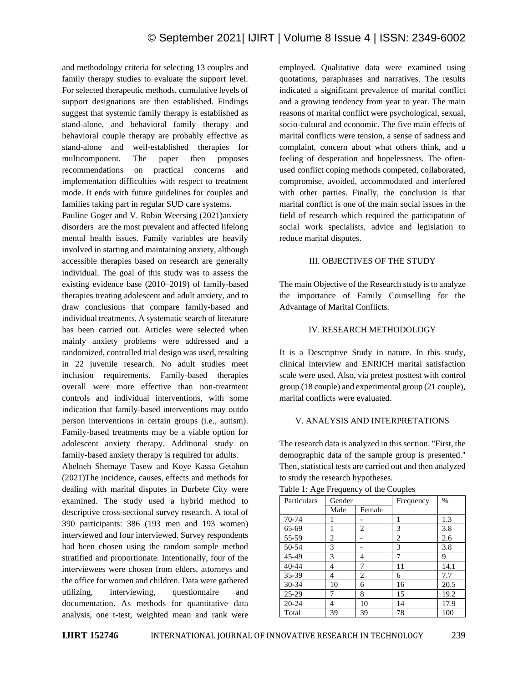and methodology criteria for selecting 13 couples and family therapy studies to evaluate the support level. For selected therapeutic methods, cumulative levels of support designations are then established. Findings suggest that systemic family therapy is established as stand-alone, and behavioral family therapy and behavioral couple therapy are probably effective as stand-alone and well-established therapies for multicomponent. The paper then proposes recommendations on practical concerns and implementation difficulties with respect to treatment mode. It ends with future guidelines for couples and families taking part in regular SUD care systems.

Pauline Goger and V. Robin Weersing (2021)anxiety disorders are the most prevalent and affected lifelong mental health issues. Family variables are heavily involved in starting and maintaining anxiety, although accessible therapies based on research are generally individual. The goal of this study was to assess the existing evidence base (2010–2019) of family-based therapies treating adolescent and adult anxiety, and to draw conclusions that compare family-based and individual treatments. A systematic search of literature has been carried out. Articles were selected when mainly anxiety problems were addressed and a randomized, controlled trial design was used, resulting in 22 juvenile research. No adult studies meet inclusion requirements. Family-based therapies overall were more effective than non-treatment controls and individual interventions, with some indication that family-based interventions may outdo person interventions in certain groups (i.e., autism). Family-based treatments may be a viable option for adolescent anxiety therapy. Additional study on family-based anxiety therapy is required for adults.

Abelneh Shemaye Tasew and Koye Kassa Getahun (2021)The incidence, causes, effects and methods for dealing with marital disputes in Durbete City were examined. The study used a hybrid method to descriptive cross-sectional survey research. A total of 390 participants: 386 (193 men and 193 women) interviewed and four interviewed. Survey respondents had been chosen using the random sample method stratified and proportionate. Intentionally, four of the interviewees were chosen from elders, attorneys and the office for women and children. Data were gathered utilizing, interviewing, questionnaire and documentation. As methods for quantitative data analysis, one t-test, weighted mean and rank were

employed. Qualitative data were examined using quotations, paraphrases and narratives. The results indicated a significant prevalence of marital conflict and a growing tendency from year to year. The main reasons of marital conflict were psychological, sexual, socio-cultural and economic. The five main effects of marital conflicts were tension, a sense of sadness and complaint, concern about what others think, and a feeling of desperation and hopelessness. The oftenused conflict coping methods competed, collaborated, compromise, avoided, accommodated and interfered with other parties. Finally, the conclusion is that marital conflict is one of the main social issues in the field of research which required the participation of social work specialists, advice and legislation to reduce marital disputes.

# III. OBJECTIVES OF THE STUDY

The main Objective of the Research study is to analyze the importance of Family Counselling for the Advantage of Marital Conflicts.

# IV. RESEARCH METHODOLOGY

It is a Descriptive Study in nature. In this study, clinical interview and ENRICH marital satisfaction scale were used. Also, via pretest posttest with control group (18 couple) and experimental group (21 couple), marital conflicts were evaluated.

#### V. ANALYSIS AND INTERPRETATIONS

The research data is analyzed in this section. "First, the demographic data of the sample group is presented.'' Then, statistical tests are carried out and then analyzed to study the research hypotheses.

| Particulars | Gender |        | Frequency | $\%$ |
|-------------|--------|--------|-----------|------|
|             | Male   | Female |           |      |
| 70-74       |        |        | 1         | 1.3  |
| 65-69       |        | 2      | 3         | 3.8  |
| 55-59       | 2      |        | 2         | 2.6  |
| 50-54       | 3      |        | 3         | 3.8  |
| 45-49       | 3      | 4      | 7         | 9    |
| $40 - 44$   | 4      | 7      | 11        | 14.1 |
| 35-39       | 4      | 2      | 6         | 7.7  |
| 30-34       | 10     | 6      | 16        | 20.5 |
| 25-29       | 7      | 8      | 15        | 19.2 |
| $20 - 24$   | 4      | 10     | 14        | 17.9 |
| Total       | 39     | 39     | 78        | 100  |

Table 1: Age Frequency of the Couples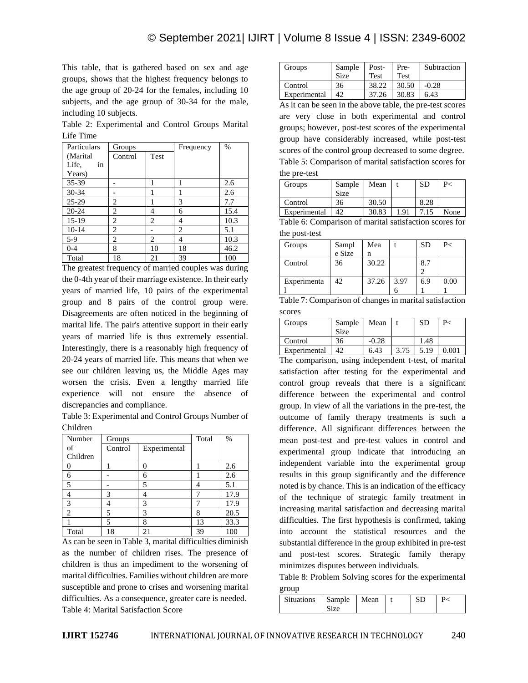This table, that is gathered based on sex and age groups, shows that the highest frequency belongs to the age group of 20-24 for the females, including 10 subjects, and the age group of 30-34 for the male, including 10 subjects.

Table 2: Experimental and Control Groups Marital Life Time

| Particulars | Groups         |                | Frequency | $\%$ |
|-------------|----------------|----------------|-----------|------|
| (Marital    | Control        | Test           |           |      |
| Life.<br>in |                |                |           |      |
| Years)      |                |                |           |      |
| 35-39       |                | 1              | 1         | 2.6  |
| $30 - 34$   |                |                |           | 2.6  |
| $25-29$     | 2              | 1              | 3         | 7.7  |
| $20 - 24$   | 2              | 4              | 6         | 15.4 |
| $15-19$     | $\overline{c}$ | $\overline{c}$ | 4         | 10.3 |
| $10-14$     | $\mathfrak{D}$ |                | 2         | 5.1  |
| $5-9$       | 2              | 2              | 4         | 10.3 |
| $0 - 4$     | 8              | 10             | 18        | 46.2 |
| Total       | 18             | 21             | 39        | 100  |

The greatest frequency of married couples was during the 0-4th year of their marriage existence. In their early years of married life, 10 pairs of the experimental group and 8 pairs of the control group were. Disagreements are often noticed in the beginning of marital life. The pair's attentive support in their early years of married life is thus extremely essential. Interestingly, there is a reasonably high frequency of 20-24 years of married life. This means that when we see our children leaving us, the Middle Ages may worsen the crisis. Even a lengthy married life experience will not ensure the absence of discrepancies and compliance.

Table 3: Experimental and Control Groups Number of Children

| Number         | Groups  |              | Total | $\%$ |
|----------------|---------|--------------|-------|------|
| of             | Control | Experimental |       |      |
| Children       |         |              |       |      |
|                |         |              |       | 2.6  |
| 6              |         | 6            |       | 2.6  |
| 5              |         | 5            |       | 5.1  |
|                | 3       |              | 7     | 17.9 |
| 3              |         | 3            |       | 17.9 |
| $\overline{c}$ | 5       | 3            | 8     | 20.5 |
|                | 5       | 8            | 13    | 33.3 |
| Total          | 18      | 21           | 39    | 100  |

As can be seen in Table 3, marital difficulties diminish as the number of children rises. The presence of children is thus an impediment to the worsening of marital difficulties. Families without children are more susceptible and prone to crises and worsening marital difficulties. As a consequence, greater care is needed. Table 4: Marital Satisfaction Score

| Groups       | Sample<br>Size | Post-<br>Test | Pre-<br>Test | Subtraction |
|--------------|----------------|---------------|--------------|-------------|
| Control      | 36             | 38.22         | 30.50        | $-0.28$     |
| Experimental | 42             | 37.26         | 30.83        | 6.43        |
|              |                |               |              |             |

As it can be seen in the above table, the pre-test scores are very close in both experimental and control groups; however, post-test scores of the experimental group have considerably increased, while post-test scores of the control group decreased to some degree. Table 5: Comparison of marital satisfaction scores for the pre-test

| Groups       | Sample<br>Size | Mean  |      | SD   | P<   |
|--------------|----------------|-------|------|------|------|
| Control      | 36             | 30.50 |      | 8.28 |      |
| Experimental | 42             | 30.83 | i 91 | 7.15 | None |

Table 6: Comparison of marital satisfaction scores for the post-test

| Groups      | Sampl<br>e Size | Mea<br>n |      | <b>SD</b> | P<   |
|-------------|-----------------|----------|------|-----------|------|
| Control     | 36              | 30.22    |      | 8.7       |      |
| Experimenta | 42              | 37.26    | 3.97 | 6.9       | 0.00 |

| Table 7: Comparison of changes in marital satisfaction |  |
|--------------------------------------------------------|--|
| scores                                                 |  |

| Groups       | Sample<br><b>Size</b> | Mean    |      | SD   | P-    |
|--------------|-----------------------|---------|------|------|-------|
| Control      | 36                    | $-0.28$ |      | 1.48 |       |
| Experimental | 42                    | 6.43    | 3.75 | 5.19 | 0.001 |

The comparison, using independent t-test, of marital satisfaction after testing for the experimental and control group reveals that there is a significant difference between the experimental and control group. In view of all the variations in the pre-test, the outcome of family therapy treatments is such a difference. All significant differences between the mean post-test and pre-test values in control and experimental group indicate that introducing an independent variable into the experimental group results in this group significantly and the difference noted is by chance. This is an indication of the efficacy of the technique of strategic family treatment in increasing marital satisfaction and decreasing marital difficulties. The first hypothesis is confirmed, taking into account the statistical resources and the substantial difference in the group exhibited in pre-test and post-test scores. Strategic family therapy minimizes disputes between individuals.

Table 8: Problem Solving scores for the experimental group

| . .                        |  |  |  |
|----------------------------|--|--|--|
| Situations   Sample   Mean |  |  |  |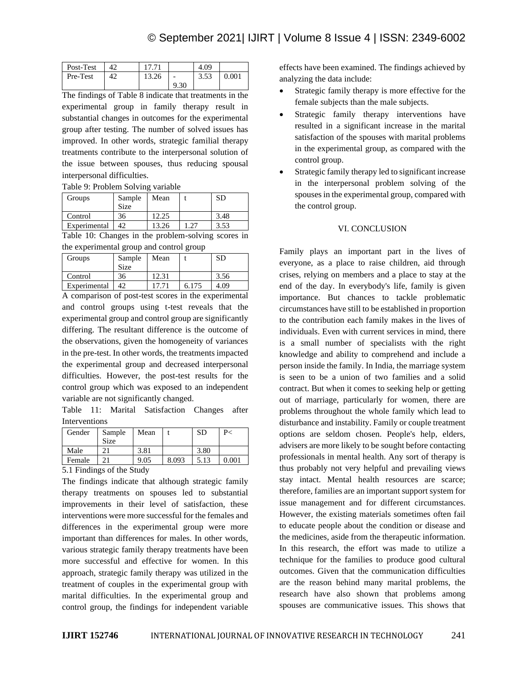| Post-Test |    | 1771  |      | 4.09 |       |
|-----------|----|-------|------|------|-------|
| Pre-Test  | 42 | 13.26 |      | 3.53 | 0.001 |
|           |    |       | 9.30 |      |       |

The findings of Table 8 indicate that treatments in the experimental group in family therapy result in substantial changes in outcomes for the experimental group after testing. The number of solved issues has improved. In other words, strategic familial therapy treatments contribute to the interpersonal solution of the issue between spouses, thus reducing spousal interpersonal difficulties.

Table 9: Problem Solving variable

| Groups       | Sample<br>Size | Mean  |      |
|--------------|----------------|-------|------|
| Control      | 36             |       | 3.48 |
| Experimental | 42             | 13.26 | 3.53 |

Table 10: Changes in the problem-solving scores in the experimental group and control group

| Groups       | Sample<br><b>Size</b> | Mean  |       | SD   |
|--------------|-----------------------|-------|-------|------|
| Control      | 36                    | 12.31 |       | 3.56 |
| Experimental | 42                    |       | 6.175 | 4.09 |

A comparison of post-test scores in the experimental and control groups using t-test reveals that the experimental group and control group are significantly differing. The resultant difference is the outcome of the observations, given the homogeneity of variances in the pre-test. In other words, the treatments impacted the experimental group and decreased interpersonal difficulties. However, the post-test results for the control group which was exposed to an independent variable are not significantly changed.

Table 11: Marital Satisfaction Changes after Interventions

| Gender                                           | Sample<br>Size | Mean |       | SD   | P<          |
|--------------------------------------------------|----------------|------|-------|------|-------------|
| Male                                             |                | 3.81 |       | 3.80 |             |
| Female                                           |                | 9.05 | 8.093 | 5.13 | $\rm 0.001$ |
| $51$ Eindings of the $\mathcal{C}_{\text{turb}}$ |                |      |       |      |             |

5.1 Findings of the Study

The findings indicate that although strategic family therapy treatments on spouses led to substantial improvements in their level of satisfaction, these interventions were more successful for the females and differences in the experimental group were more important than differences for males. In other words, various strategic family therapy treatments have been more successful and effective for women. In this approach, strategic family therapy was utilized in the treatment of couples in the experimental group with marital difficulties. In the experimental group and control group, the findings for independent variable effects have been examined. The findings achieved by analyzing the data include:

- Strategic family therapy is more effective for the female subjects than the male subjects.
- Strategic family therapy interventions have resulted in a significant increase in the marital satisfaction of the spouses with marital problems in the experimental group, as compared with the control group.
- Strategic family therapy led to significant increase in the interpersonal problem solving of the spouses in the experimental group, compared with the control group.

# VI. CONCLUSION

Family plays an important part in the lives of everyone, as a place to raise children, aid through crises, relying on members and a place to stay at the end of the day. In everybody's life, family is given importance. But chances to tackle problematic circumstances have still to be established in proportion to the contribution each family makes in the lives of individuals. Even with current services in mind, there is a small number of specialists with the right knowledge and ability to comprehend and include a person inside the family. In India, the marriage system is seen to be a union of two families and a solid contract. But when it comes to seeking help or getting out of marriage, particularly for women, there are problems throughout the whole family which lead to disturbance and instability. Family or couple treatment options are seldom chosen. People's help, elders, advisers are more likely to be sought before contacting professionals in mental health. Any sort of therapy is thus probably not very helpful and prevailing views stay intact. Mental health resources are scarce; therefore, families are an important support system for issue management and for different circumstances. However, the existing materials sometimes often fail to educate people about the condition or disease and the medicines, aside from the therapeutic information. In this research, the effort was made to utilize a technique for the families to produce good cultural outcomes. Given that the communication difficulties are the reason behind many marital problems, the research have also shown that problems among spouses are communicative issues. This shows that